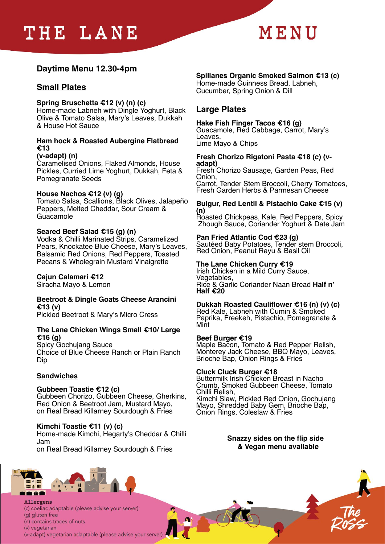# THE LANE



# **Daytime Menu 12.30-4pm**

# **Small Plates**

#### **Spring Bruschetta €12 (v) (n) (c)**

Home-made Labneh with Dingle Yoghurt, Black Olive & Tomato Salsa, Mary's Leaves, Dukkah & House Hot Sauce

## **Ham hock & Roasted Aubergine Flatbread €13**

**(v-adapt) (n)**  Caramelised Onions, Flaked Almonds, House Pickles, Curried Lime Yoghurt, Dukkah, Feta & Pomegranate Seeds

#### **House Nachos €12 (v) (g)**

Tomato Salsa, Scallions, Black Olives, Jalapeño Peppers, Melted Cheddar, Sour Cream & Guacamole

#### **Seared Beef Salad €15 (g) (n)**

Vodka & Chilli Marinated Strips, Caramelized Pears, Knockatee Blue Cheese, Mary's Leaves, Balsamic Red Onions, Red Peppers, Toasted Pecans & Wholegrain Mustard Vinaigrette

### **Cajun Calamari €12**

Siracha Mayo & Lemon

#### **Beetroot & Dingle Goats Cheese Arancini €13 (v)**

Pickled Beetroot & Mary's Micro Cress

#### **The Lane Chicken Wings Small €10/ Large €16 (g)**

Spicy Gochujang Sauce Choice of Blue Cheese Ranch or Plain Ranch Dip

### **Sandwiches**

#### **Gubbeen Toastie €12 (c)**

Gubbeen Chorizo, Gubbeen Cheese, Gherkins, Red Onion & Beetroot Jam, Mustard Mayo, on Real Bread Killarney Sourdough & Fries

#### **Kimchi Toastie €11 (v) (c)**

Home-made Kimchi, Hegarty's Cheddar & Chilli Jam on Real Bread Killarney Sourdough & Fries

# **Spillanes Organic Smoked Salmon €13 (c)**

Home-made Guinness Bread, Labneh, Cucumber, Spring Onion & Dill

# **Large Plates**

# **Hake Fish Finger Tacos €16 (g)** Guacamole, Red Cabbage, Carrot, Mary's

Leaves,

Lime Mayo & Chips

#### **Fresh Chorizo Rigatoni Pasta €18 (c) (vadapt)**

Fresh Chorizo Sausage, Garden Peas, Red Onion, Carrot, Tender Stem Broccoli, Cherry Tomatoes, Fresh Garden Herbs & Parmesan Cheese

#### **Bulgur, Red Lentil & Pistachio Cake €15 (v) (n)**

Roasted Chickpeas, Kale, Red Peppers, Spicy Zhough Sauce, Coriander Yoghurt & Date Jam

#### **Pan Fried Atlantic Cod €23 (g)**

Sautéed Baby Potatoes, Tender stem Broccoli, Red Onion, Peanut Rayu & Basil Oil

#### **The Lane Chicken Curry €19**

Irish Chicken in a Mild Curry Sauce, Vegetables, Rice & Garlic Coriander Naan Bread **Half n' Half €20** 

#### **Dukkah Roasted Cauliflower €16 (n) (v) (c)**

Red Kale, Labneh with Cumin & Smoked Paprika, Freekeh, Pistachio, Pomegranate & Mint

#### **Beef Burger €19**

Maple Bacon, Tomato & Red Pepper Relish, Monterey Jack Cheese, BBQ Mayo, Leaves, Brioche Bap, Onion Rings & Fries

#### **Cluck Cluck Burger €18**

Buttermilk Irish Chicken Breast in Nacho Crumb, Smoked Gubbeen Cheese, Tomato Chilli Relish, Kimchi Slaw, Pickled Red Onion, Gochujang Mayo, Shredded Baby Gem, Brioche Bap, Onion Rings, Coleslaw & Fries

> **Snazzy sides on the flip side & Vegan menu available**



Allergens (c) coeliac adaptable (please advise your server) (g) gluten free (n) contains traces of nuts (v) vegetarian (v-adapt) vegetarian adaptable (please advise your server)

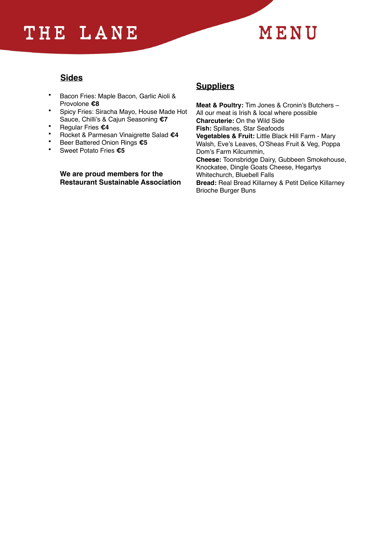# THE LANE



# **Sides**

- Bacon Fries: Maple Bacon, Garlic Aioli & Provolone **€8**
- Spicy Fries: Siracha Mayo, House Made Hot Sauce, Chilli's & Cajun Seasoning **€7**
- Regular Fries **€4**
- Rocket & Parmesan Vinaigrette Salad **€4**
- Beer Battered Onion Rings **€5**
- Sweet Potato Fries **€5**

**We are proud members for the Restaurant Sustainable Association** 

# **Suppliers**

**Meat & Poultry:** Tim Jones & Cronin's Butchers – All our meat is Irish & local where possible **Charcuterie:** On the Wild Side **Fish:** Spillanes, Star Seafoods **Vegetables & Fruit:** Little Black Hill Farm - Mary Walsh, Eve's Leaves, O'Sheas Fruit & Veg, Poppa Dom's Farm Kilcummin, **Cheese:** Toonsbridge Dairy, Gubbeen Smokehouse, Knockatee, Dingle Goats Cheese, Hegartys Whitechurch, Bluebell Falls **Bread:** Real Bread Killarney & Petit Delice Killarney Brioche Burger Buns